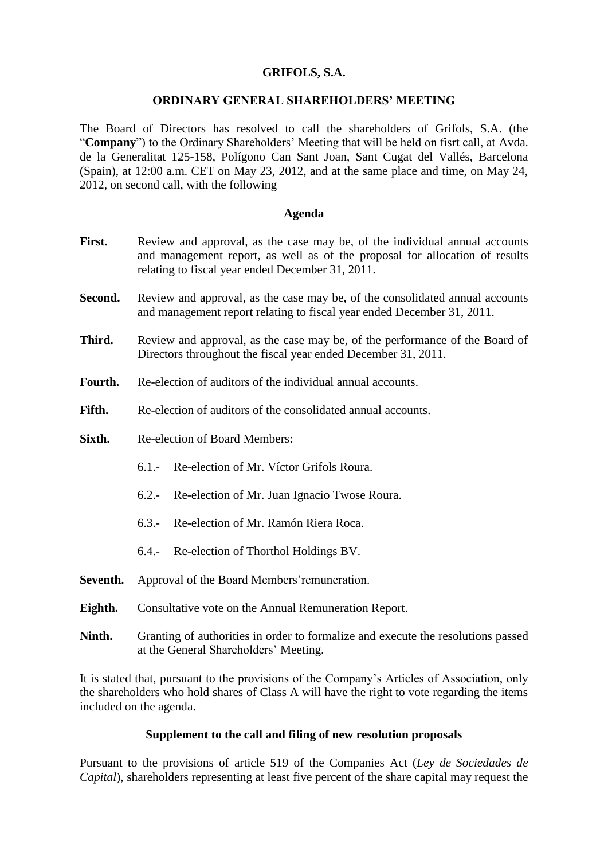# **GRIFOLS, S.A.**

## **ORDINARY GENERAL SHAREHOLDERS' MEETING**

The Board of Directors has resolved to call the shareholders of Grifols, S.A. (the "**Company**") to the Ordinary Shareholders' Meeting that will be held on fisrt call, at Avda. de la Generalitat 125-158, Polígono Can Sant Joan, Sant Cugat del Vallés, Barcelona (Spain), at 12:00 a.m. CET on May 23, 2012, and at the same place and time, on May 24, 2012, on second call, with the following

#### **Agenda**

- First. Review and approval, as the case may be, of the individual annual accounts and management report, as well as of the proposal for allocation of results relating to fiscal year ended December 31, 2011.
- **Second.** Review and approval, as the case may be, of the consolidated annual accounts and management report relating to fiscal year ended December 31, 2011.
- **Third.** Review and approval, as the case may be, of the performance of the Board of Directors throughout the fiscal year ended December 31, 2011.
- **Fourth.** Re-election of auditors of the individual annual accounts.
- **Fifth.** Re-election of auditors of the consolidated annual accounts.
- **Sixth.** Re-election of Board Members:
	- 6.1.- Re-election of Mr. Víctor Grifols Roura.
	- 6.2.- Re-election of Mr. Juan Ignacio Twose Roura.
	- 6.3.- Re-election of Mr. Ramón Riera Roca.
	- 6.4.- Re-election of Thorthol Holdings BV.
- Seventh. Approval of the Board Members' remuneration.
- **Eighth.** Consultative vote on the Annual Remuneration Report.
- **Ninth.** Granting of authorities in order to formalize and execute the resolutions passed at the General Shareholders' Meeting.

It is stated that, pursuant to the provisions of the Company's Articles of Association, only the shareholders who hold shares of Class A will have the right to vote regarding the items included on the agenda.

### **Supplement to the call and filing of new resolution proposals**

Pursuant to the provisions of article 519 of the Companies Act (*Ley de Sociedades de Capital*), shareholders representing at least five percent of the share capital may request the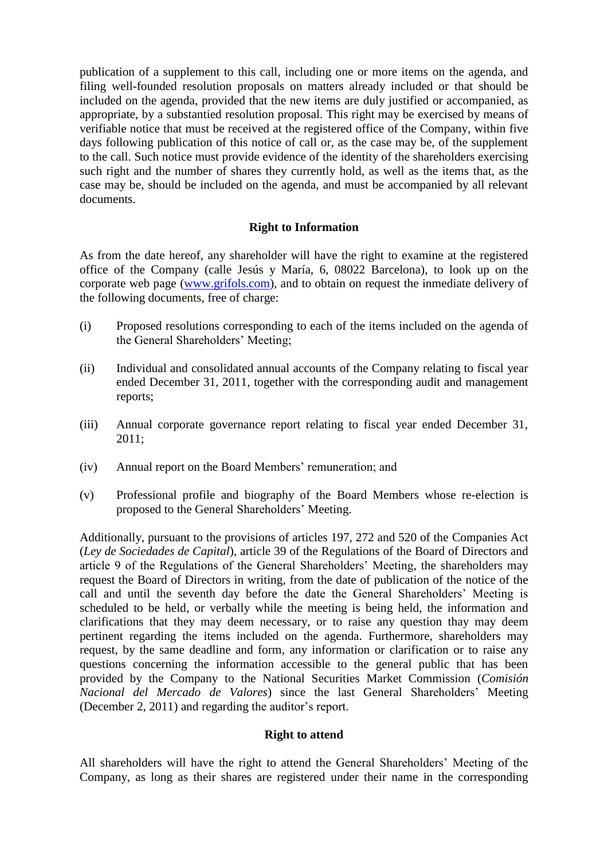publication of a supplement to this call, including one or more items on the agenda, and filing well-founded resolution proposals on matters already included or that should be included on the agenda, provided that the new items are duly justified or accompanied, as appropriate, by a substantied resolution proposal. This right may be exercised by means of verifiable notice that must be received at the registered office of the Company, within five days following publication of this notice of call or, as the case may be, of the supplement to the call. Such notice must provide evidence of the identity of the shareholders exercising such right and the number of shares they currently hold, as well as the items that, as the case may be, should be included on the agenda, and must be accompanied by all relevant documents.

# **Right to Information**

As from the date hereof, any shareholder will have the right to examine at the registered office of the Company (calle Jesús y María, 6, 08022 Barcelona), to look up on the corporate web page [\(www.grifols.com\)](http://www.grifols.com/), and to obtain on request the inmediate delivery of the following documents, free of charge:

- (i) Proposed resolutions corresponding to each of the items included on the agenda of the General Shareholders' Meeting;
- (ii) Individual and consolidated annual accounts of the Company relating to fiscal year ended December 31, 2011, together with the corresponding audit and management reports;
- (iii) Annual corporate governance report relating to fiscal year ended December 31, 2011;
- (iv) Annual report on the Board Members' remuneration; and
- (v) Professional profile and biography of the Board Members whose re-election is proposed to the General Shareholders' Meeting.

Additionally, pursuant to the provisions of articles 197, 272 and 520 of the Companies Act (*Ley de Sociedades de Capital*), article 39 of the Regulations of the Board of Directors and article 9 of the Regulations of the General Shareholders' Meeting, the shareholders may request the Board of Directors in writing, from the date of publication of the notice of the call and until the seventh day before the date the General Shareholders' Meeting is scheduled to be held, or verbally while the meeting is being held, the information and clarifications that they may deem necessary, or to raise any question thay may deem pertinent regarding the items included on the agenda. Furthermore, shareholders may request, by the same deadline and form, any information or clarification or to raise any questions concerning the information accessible to the general public that has been provided by the Company to the National Securities Market Commission (*Comisión Nacional del Mercado de Valores*) since the last General Shareholders' Meeting (December 2, 2011) and regarding the auditor's report.

### **Right to attend**

All shareholders will have the right to attend the General Shareholders' Meeting of the Company, as long as their shares are registered under their name in the corresponding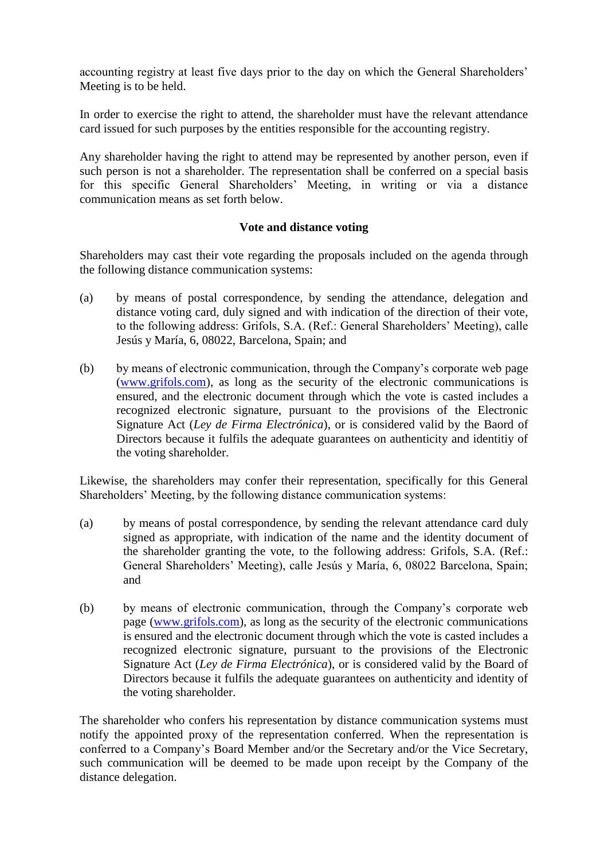accounting registry at least five days prior to the day on which the General Shareholders' Meeting is to be held.

In order to exercise the right to attend, the shareholder must have the relevant attendance card issued for such purposes by the entities responsible for the accounting registry.

Any shareholder having the right to attend may be represented by another person, even if such person is not a shareholder. The representation shall be conferred on a special basis for this specific General Shareholders' Meeting, in writing or via a distance communication means as set forth below.

# **Vote and distance voting**

Shareholders may cast their vote regarding the proposals included on the agenda through the following distance communication systems:

- (a) by means of postal correspondence, by sending the attendance, delegation and distance voting card, duly signed and with indication of the direction of their vote, to the following address: Grifols, S.A. (Ref.: General Shareholders' Meeting), calle Jesús y María, 6, 08022, Barcelona, Spain; and
- (b) by means of electronic communication, through the Company's corporate web page [\(www.grifols.com\)](http://www.grifols.com/), as long as the security of the electronic communications is ensured, and the electronic document through which the vote is casted includes a recognized electronic signature, pursuant to the provisions of the Electronic Signature Act (*Ley de Firma Electrónica*), or is considered valid by the Baord of Directors because it fulfils the adequate guarantees on authenticity and identitiy of the voting shareholder.

Likewise, the shareholders may confer their representation, specifically for this General Shareholders' Meeting, by the following distance communication systems:

- (a) by means of postal correspondence, by sending the relevant attendance card duly signed as appropriate, with indication of the name and the identity document of the shareholder granting the vote, to the following address: Grifols, S.A. (Ref.: General Shareholders' Meeting), calle Jesús y María, 6, 08022 Barcelona, Spain; and
- (b) by means of electronic communication, through the Company's corporate web page [\(www.grifols.com\)](http://www.grifols.com/), as long as the security of the electronic communications is ensured and the electronic document through which the vote is casted includes a recognized electronic signature, pursuant to the provisions of the Electronic Signature Act (*Ley de Firma Electrónica*), or is considered valid by the Board of Directors because it fulfils the adequate guarantees on authenticity and identity of the voting shareholder.

The shareholder who confers his representation by distance communication systems must notify the appointed proxy of the representation conferred. When the representation is conferred to a Company's Board Member and/or the Secretary and/or the Vice Secretary, such communication will be deemed to be made upon receipt by the Company of the distance delegation.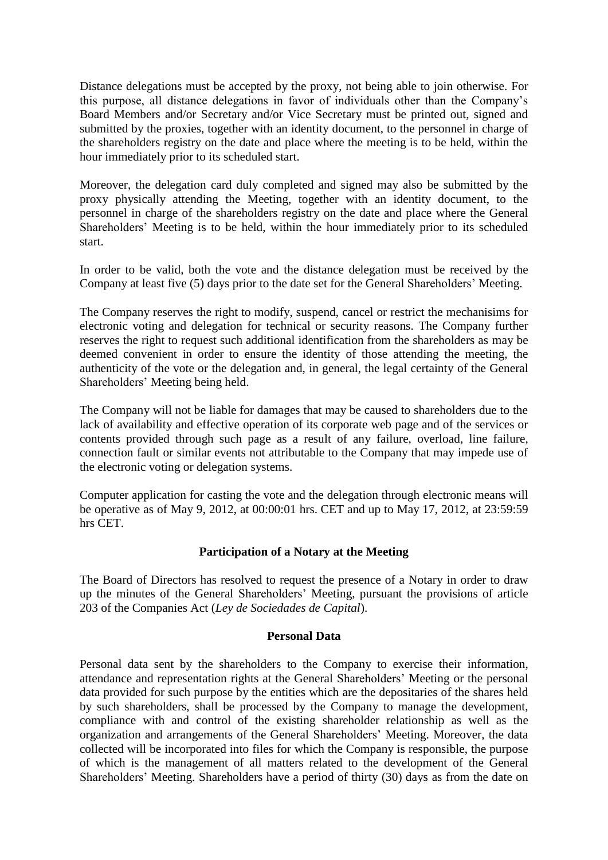Distance delegations must be accepted by the proxy, not being able to join otherwise. For this purpose, all distance delegations in favor of individuals other than the Company's Board Members and/or Secretary and/or Vice Secretary must be printed out, signed and submitted by the proxies, together with an identity document, to the personnel in charge of the shareholders registry on the date and place where the meeting is to be held, within the hour immediately prior to its scheduled start.

Moreover, the delegation card duly completed and signed may also be submitted by the proxy physically attending the Meeting, together with an identity document, to the personnel in charge of the shareholders registry on the date and place where the General Shareholders' Meeting is to be held, within the hour immediately prior to its scheduled start.

In order to be valid, both the vote and the distance delegation must be received by the Company at least five (5) days prior to the date set for the General Shareholders' Meeting.

The Company reserves the right to modify, suspend, cancel or restrict the mechanisims for electronic voting and delegation for technical or security reasons. The Company further reserves the right to request such additional identification from the shareholders as may be deemed convenient in order to ensure the identity of those attending the meeting, the authenticity of the vote or the delegation and, in general, the legal certainty of the General Shareholders' Meeting being held.

The Company will not be liable for damages that may be caused to shareholders due to the lack of availability and effective operation of its corporate web page and of the services or contents provided through such page as a result of any failure, overload, line failure, connection fault or similar events not attributable to the Company that may impede use of the electronic voting or delegation systems.

Computer application for casting the vote and the delegation through electronic means will be operative as of May 9, 2012, at 00:00:01 hrs. CET and up to May 17, 2012, at 23:59:59 hrs CET.

## **Participation of a Notary at the Meeting**

The Board of Directors has resolved to request the presence of a Notary in order to draw up the minutes of the General Shareholders' Meeting, pursuant the provisions of article 203 of the Companies Act (*Ley de Sociedades de Capital*).

## **Personal Data**

Personal data sent by the shareholders to the Company to exercise their information, attendance and representation rights at the General Shareholders' Meeting or the personal data provided for such purpose by the entities which are the depositaries of the shares held by such shareholders, shall be processed by the Company to manage the development, compliance with and control of the existing shareholder relationship as well as the organization and arrangements of the General Shareholders' Meeting. Moreover, the data collected will be incorporated into files for which the Company is responsible, the purpose of which is the management of all matters related to the development of the General Shareholders' Meeting. Shareholders have a period of thirty (30) days as from the date on